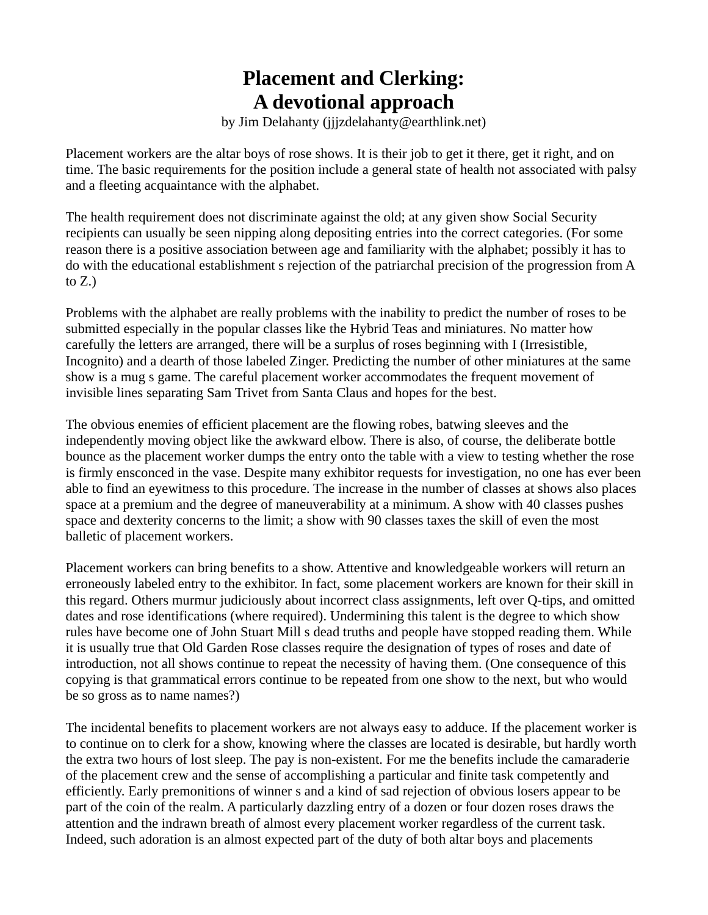## **Placement and Clerking: A devotional approach**

by Jim Delahanty (jjjzdelahanty@earthlink.net)

Placement workers are the altar boys of rose shows. It is their job to get it there, get it right, and on time. The basic requirements for the position include a general state of health not associated with palsy and a fleeting acquaintance with the alphabet.

The health requirement does not discriminate against the old; at any given show Social Security recipients can usually be seen nipping along depositing entries into the correct categories. (For some reason there is a positive association between age and familiarity with the alphabet; possibly it has to do with the educational establishment s rejection of the patriarchal precision of the progression from A to  $Z_{\cdot}$ )

Problems with the alphabet are really problems with the inability to predict the number of roses to be submitted especially in the popular classes like the Hybrid Teas and miniatures. No matter how carefully the letters are arranged, there will be a surplus of roses beginning with I (Irresistible, Incognito) and a dearth of those labeled Zinger. Predicting the number of other miniatures at the same show is a mug s game. The careful placement worker accommodates the frequent movement of invisible lines separating Sam Trivet from Santa Claus and hopes for the best.

The obvious enemies of efficient placement are the flowing robes, batwing sleeves and the independently moving object like the awkward elbow. There is also, of course, the deliberate bottle bounce as the placement worker dumps the entry onto the table with a view to testing whether the rose is firmly ensconced in the vase. Despite many exhibitor requests for investigation, no one has ever been able to find an eyewitness to this procedure. The increase in the number of classes at shows also places space at a premium and the degree of maneuverability at a minimum. A show with 40 classes pushes space and dexterity concerns to the limit; a show with 90 classes taxes the skill of even the most balletic of placement workers.

Placement workers can bring benefits to a show. Attentive and knowledgeable workers will return an erroneously labeled entry to the exhibitor. In fact, some placement workers are known for their skill in this regard. Others murmur judiciously about incorrect class assignments, left over Q-tips, and omitted dates and rose identifications (where required). Undermining this talent is the degree to which show rules have become one of John Stuart Mill s dead truths and people have stopped reading them. While it is usually true that Old Garden Rose classes require the designation of types of roses and date of introduction, not all shows continue to repeat the necessity of having them. (One consequence of this copying is that grammatical errors continue to be repeated from one show to the next, but who would be so gross as to name names?)

The incidental benefits to placement workers are not always easy to adduce. If the placement worker is to continue on to clerk for a show, knowing where the classes are located is desirable, but hardly worth the extra two hours of lost sleep. The pay is non-existent. For me the benefits include the camaraderie of the placement crew and the sense of accomplishing a particular and finite task competently and efficiently. Early premonitions of winner s and a kind of sad rejection of obvious losers appear to be part of the coin of the realm. A particularly dazzling entry of a dozen or four dozen roses draws the attention and the indrawn breath of almost every placement worker regardless of the current task. Indeed, such adoration is an almost expected part of the duty of both altar boys and placements